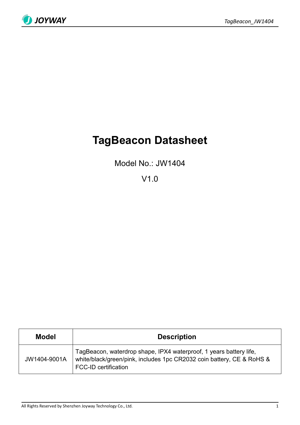

# **TagBeacon Datasheet**

Model No.: JW1404

V1.0

| <b>Model</b> | <b>Description</b>                                                                                                                                                         |  |  |
|--------------|----------------------------------------------------------------------------------------------------------------------------------------------------------------------------|--|--|
| JW1404-9001A | TagBeacon, waterdrop shape, IPX4 waterproof, 1 years battery life,<br>white/black/green/pink, includes 1pc CR2032 coin battery, CE & RoHS &<br><b>FCC-ID certification</b> |  |  |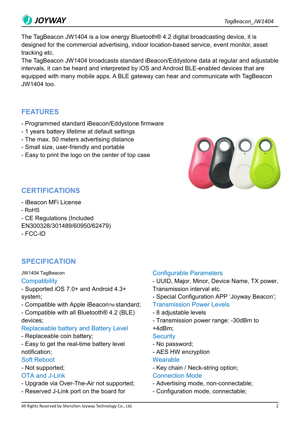

The TagBeacon JW1404 is a low energy Bluetooth® 4.2 digital broadcasting device, it is designed for the commercial advertising, indoor location-based service, event monitor, asset tracking etc.

The TagBeacon JW1404 broadcasts standard iBeacon/Eddystone data at regular and adjustable intervals, it can be heard and interpreted by iOS and Android BLE-enabled devices that are equipped with many mobile apps. A BLE gateway can hear and communicate with TagBeacon JW1404 too.

# **FEATURES**

- Programmed standard iBeacon/Eddystone firmware
- 1 years battery lifetime at default settings
- The max. 50 meters advertising distance
- Small size, user-friendly and portable
- Easy to print the logo on the center of top case



# **CERTIFICATIONS**

- iBeacon MFi License
- RoHS
- CE Regulations (Included
- EN300328/301489/60950/62479)
- FCC-ID

# **SPECIFICATION**

### JW1404 TagBeacon

### **Compatibility**

- Supported iOS 7.0+ and Android 4.3+ system;

- Compatible with Apple iBeaconTM standard;
- Compatible with all Bluetooth® 4.2 (BLE) devices;

## Replaceable battery and Battery Level

- Replaceable coin battery;
- Easy to get the real-time battery level notification;

### Soft Reboot

- Not supported;

# OTA and J-Link

- Upgrade via Over-The-Air not supported;
- Reserved J-Link port on the board for

## Configurable Parameters

- UUID, Major, Minor, Device Name, TX power, Transmission interval etc.

- Special Configuration APP 'Joyway Beacon';
- Transmission Power Levels
- 8 adjustable levels
- Transmission power range: -30dBm to +4dBm;

- **Security**
- No password; - AES HW encryption

### **Wearable**

- Key chain / Neck-string option;

### Connection Mode

- Advertising mode, non-connectable;
- Configuration mode, connectable;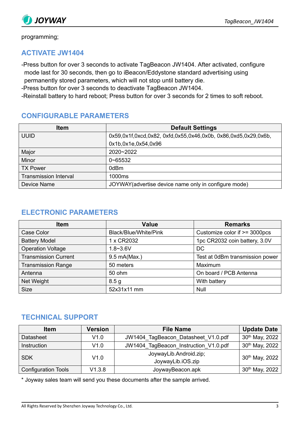

programming;

# **ACTIVATE JW1404**

-Press button for over 3 seconds to activate TagBeacon JW1404. After activated, configure mode last for 30 seconds, then go to iBeacon/Eddystone standard advertising using permanently stored parameters, which will not stop until battery die.

-Press button for over 3 seconds to deactivate TagBeacon JW1404.

-Reinstall battery to hard reboot; Press button for over 3 seconds for 2 times to soft reboot.

# **CONFIGURABLE PARAMETERS**

| <b>Item</b>                  | <b>Default Settings</b>                                        |
|------------------------------|----------------------------------------------------------------|
| <b>UUID</b>                  | 0x59,0x1f,0xcd,0x82, 0xfd,0x55,0x46,0x0b, 0x86,0xd5,0x29,0x6b, |
|                              | 0x1b,0x1e,0x54,0x96                                            |
| Major                        | $2020 - 2022$                                                  |
| Minor                        | $0 - 65532$                                                    |
| <b>TX Power</b>              | 0dBm                                                           |
| <b>Transmission Interval</b> | 1000ms                                                         |
| Device Name                  | JOYWAY (advertise device name only in configure mode)          |

# **ELECTRONIC PARAMETERS**

| <b>Item</b>                 | <b>Value</b>          | <b>Remarks</b>                  |
|-----------------------------|-----------------------|---------------------------------|
| Case Color                  | Black/Blue/White/Pink | Customize color if >= 3000pcs   |
| <b>Battery Model</b>        | 1 x CR2032            | 1pc CR2032 coin battery, 3.0V   |
| <b>Operation Voltage</b>    | $1.8 - 3.6V$          | DC                              |
| <b>Transmission Current</b> | 9.5 mA(Max.)          | Test at 0dBm transmission power |
| <b>Transmission Range</b>   | 50 meters             | Maximum                         |
| Antenna                     | 50 ohm                | On board / PCB Antenna          |
| Net Weight                  | 8.5 <sub>g</sub>      | With battery                    |
| <b>Size</b>                 | 52x31x11 mm           | <b>Null</b>                     |

# **TECHNICAL SUPPORT**

| <b>Item</b>                | <b>Version</b> | <b>File Name</b>                      | <b>Update Date</b>             |
|----------------------------|----------------|---------------------------------------|--------------------------------|
| <b>Datasheet</b>           | V1.0           | JW1404_TagBeacon_Datasheet_V1.0.pdf   | 30 <sup>th</sup> May, 2022     |
| Instruction                | V1.0           | JW1404_TagBeacon_Instruction_V1.0.pdf | $30th$ May, 2022 $\frac{1}{2}$ |
| <b>SDK</b>                 | V1.0           | JoywayLib.Android.zip;                | 30th May, 2022                 |
|                            |                | JoywayLib.iOS.zip                     |                                |
| <b>Configuration Tools</b> | V1.3.8         | JoywayBeacon.apk                      | 30th May, 2022                 |

\* Joyway sales team will send you these documents after the sample arrived.